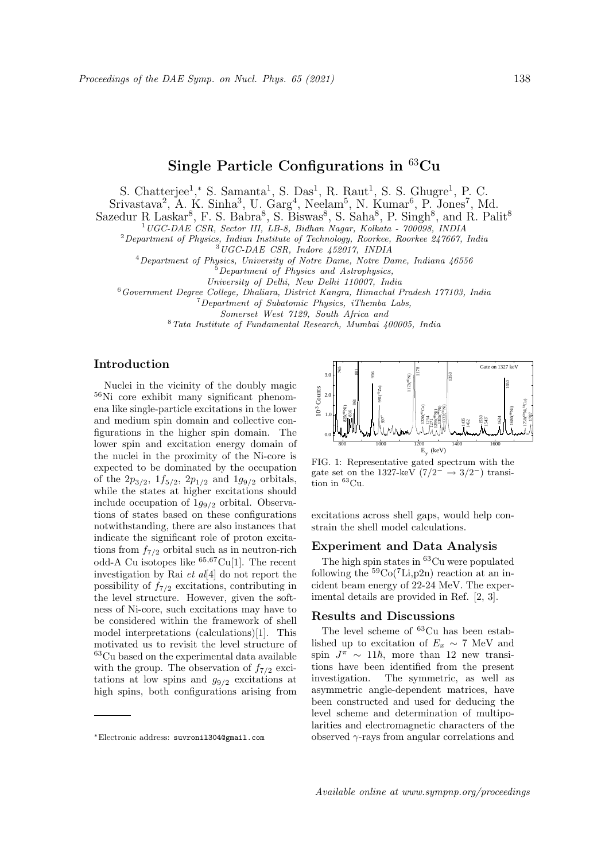# Single Particle Configurations in  ${}^{63}Cu$

S. Chatterjee<sup>1</sup>,\* S. Samanta<sup>1</sup>, S. Das<sup>1</sup>, R. Raut<sup>1</sup>, S. S. Ghugre<sup>1</sup>, P. C.

 $Srivastava<sup>2</sup>$ , A. K. Sinha<sup>3</sup>, U. Garg<sup>4</sup>, Neelam<sup>5</sup>, N. Kumar<sup>6</sup>, P. Jones<sup>7</sup>, Md.

Sazedur R Laskar<sup>8</sup>, F. S. Babra<sup>8</sup>, S. Biswas<sup>8</sup>, S. Saha<sup>8</sup>, P. Singh<sup>8</sup>, and R. Palit<sup>8</sup>

<sup>1</sup>UGC-DAE CSR, Sector III, LB-8, Bidhan Nagar, Kolkata - 700098, INDIA

 $2$ Department of Physics, Indian Institute of Technology, Roorkee, Roorkee 247667, India

<sup>3</sup>UGC-DAE CSR, Indore 452017, INDIA

 $^{4}$ Department of Physics, University of Notre Dame, Notre Dame, Indiana  $46556$ 

<sup>5</sup>Department of Physics and Astrophysics,

University of Delhi, New Delhi 110007, India

<sup>6</sup>Government Degree College, Dhaliara, District Kangra, Himachal Pradesh 177103, India

<sup>7</sup>Department of Subatomic Physics, iThemba Labs,

Somerset West 7129, South Africa and

<sup>8</sup>Tata Institute of Fundamental Research, Mumbai 400005, India

## Introduction

Nuclei in the vicinity of the doubly magic <sup>56</sup>Ni core exhibit many significant phenomena like single-particle excitations in the lower and medium spin domain and collective configurations in the higher spin domain. The lower spin and excitation energy domain of the nuclei in the proximity of the Ni-core is expected to be dominated by the occupation of the  $2p_{3/2}$ ,  $1f_{5/2}$ ,  $2p_{1/2}$  and  $1g_{9/2}$  orbitals, while the states at higher excitations should include occupation of  $1g_{9/2}$  orbital. Observations of states based on these configurations notwithstanding, there are also instances that indicate the significant role of proton excitations from  $f_{7/2}$  orbital such as in neutron-rich odd-A Cu isotopes like <sup>65</sup>,67Cu[1]. The recent investigation by Rai  $et$   $al[4]$  do not report the possibility of  $f_{7/2}$  excitations, contributing in the level structure. However, given the softness of Ni-core, such excitations may have to be considered within the framework of shell model interpretations (calculations)[1]. This motivated us to revisit the level structure of <sup>63</sup>Cu based on the experimental data available with the group. The observation of  $f_{7/2}$  excitations at low spins and  $g_{9/2}$  excitations at high spins, both configurations arising from Helectronic and mannihing of the New York variables in the magnet spin and excitation energy domain of<br>the molecular information of the Ni-Gore is  $\frac{1}{48}$ ,  $\frac{1}{480}$ ,  $\frac{1}{480}$  expected to be dominated by the occ



FIG. 1: Representative gated spectrum with the gate set on the 1327-keV  $(7/2^- \rightarrow 3/2^-)$  transition in <sup>63</sup>Cu.

excitations across shell gaps, would help constrain the shell model calculations.

## Experiment and Data Analysis

The high spin states in <sup>63</sup>Cu were populated following the  ${}^{59}Co({}^{7}Li, p2n)$  reaction at an incident beam energy of 22-24 MeV. The experimental details are provided in Ref. [2, 3].

#### Results and Discussions

The level scheme of  ${}^{63}Cu$  has been established up to excitation of  $E_x \sim 7$  MeV and spin  $J^{\pi} \sim 11\hbar$ , more than 12 new transitions have been identified from the present investigation. The symmetric, as well as asymmetric angle-dependent matrices, have been constructed and used for deducing the level scheme and determination of multipolarities and electromagnetic characters of the observed  $\gamma$ -rays from angular correlations and